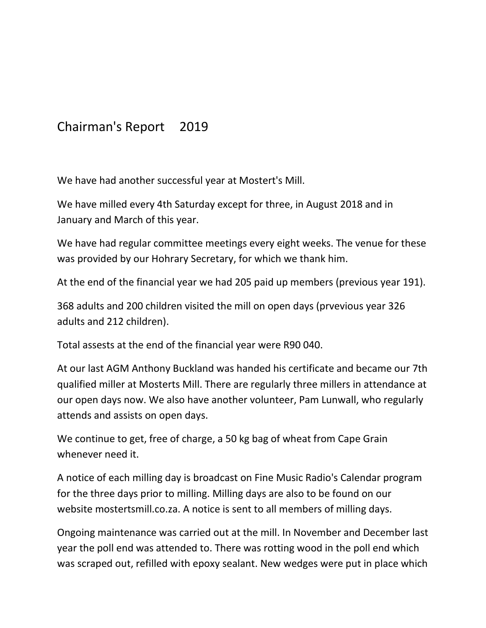## Chairman's Report 2019

We have had another successful year at Mostert's Mill.

We have milled every 4th Saturday except for three, in August 2018 and in January and March of this year.

We have had regular committee meetings every eight weeks. The venue for these was provided by our Hohrary Secretary, for which we thank him.

At the end of the financial year we had 205 paid up members (previous year 191).

368 adults and 200 children visited the mill on open days (prvevious year 326 adults and 212 children).

Total assests at the end of the financial year were R90 040.

At our last AGM Anthony Buckland was handed his certificate and became our 7th qualified miller at Mosterts Mill. There are regularly three millers in attendance at our open days now. We also have another volunteer, Pam Lunwall, who regularly attends and assists on open days.

We continue to get, free of charge, a 50 kg bag of wheat from Cape Grain whenever need it.

A notice of each milling day is broadcast on Fine Music Radio's Calendar program for the three days prior to milling. Milling days are also to be found on our website mostertsmill.co.za. A notice is sent to all members of milling days.

Ongoing maintenance was carried out at the mill. In November and December last year the poll end was attended to. There was rotting wood in the poll end which was scraped out, refilled with epoxy sealant. New wedges were put in place which